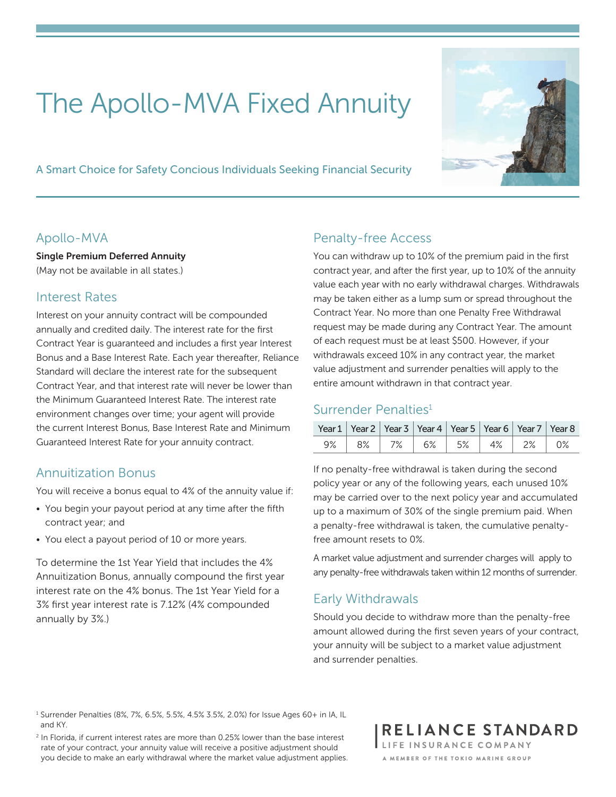# The Apollo-MVA Fixed Annuity

A Smart Choice for Safety Concious Individuals Seeking Financial Security



#### Apollo-MVA

Single Premium Deferred Annuity (May not be available in all states.)

#### Interest Rates

Interest on your annuity contract will be compounded annually and credited daily. The interest rate for the first Contract Year is guaranteed and includes a first year Interest Bonus and a Base Interest Rate. Each year thereafter, Reliance Standard will declare the interest rate for the subsequent Contract Year, and that interest rate will never be lower than the Minimum Guaranteed Interest Rate. The interest rate environment changes over time; your agent will provide the current Interest Bonus, Base Interest Rate and Minimum Guaranteed Interest Rate for your annuity contract.

# Annuitization Bonus

You will receive a bonus equal to 4% of the annuity value if:

- You begin your payout period at any time after the fifth contract year; and
- You elect a payout period of 10 or more years.

To determine the 1st Year Yield that includes the 4% Annuitization Bonus, annually compound the first year interest rate on the 4% bonus. The 1st Year Yield for a 3% first year interest rate is 7.12% (4% compounded annually by 3%.)

# Penalty-free Access

You can withdraw up to 10% of the premium paid in the first contract year, and after the first year, up to 10% of the annuity value each year with no early withdrawal charges. Withdrawals may be taken either as a lump sum or spread throughout the Contract Year. No more than one Penalty Free Withdrawal request may be made during any Contract Year. The amount of each request must be at least \$500. However, if your withdrawals exceed 10% in any contract year, the market value adjustment and surrender penalties will apply to the entire amount withdrawn in that contract year.

## Surrender Penalties<sup>1</sup>

|  | Year 1   Year 2   Year 3   Year 4   Year 5   Year 6   Year 7   Year 8 |  |  |
|--|-----------------------------------------------------------------------|--|--|
|  | $9\%$ 8% 7% 6% 5% 4% 2% 0%                                            |  |  |

If no penalty-free withdrawal is taken during the second policy year or any of the following years, each unused 10% may be carried over to the next policy year and accumulated up to a maximum of 30% of the single premium paid. When a penalty-free withdrawal is taken, the cumulative penaltyfree amount resets to 0%.

A market value adjustment and surrender charges will apply to any penalty-free withdrawals taken within 12 months of surrender.

## Early Withdrawals

Should you decide to withdraw more than the penalty-free amount allowed during the first seven years of your contract, your annuity will be subject to a market value adjustment and surrender penalties.

RELIANCE STANDARD LIFE INSURANCE COMPANY A MEMBER OF THE TOKIO MARINE GROUP

<sup>1</sup> Surrender Penalties (8%, 7%, 6.5%, 5.5%, 4.5% 3.5%, 2.0%) for Issue Ages 60+ in IA, IL and KY.

<sup>&</sup>lt;sup>2</sup> In Florida, if current interest rates are more than 0.25% lower than the base interest rate of your contract, your annuity value will receive a positive adjustment should you decide to make an early withdrawal where the market value adjustment applies.